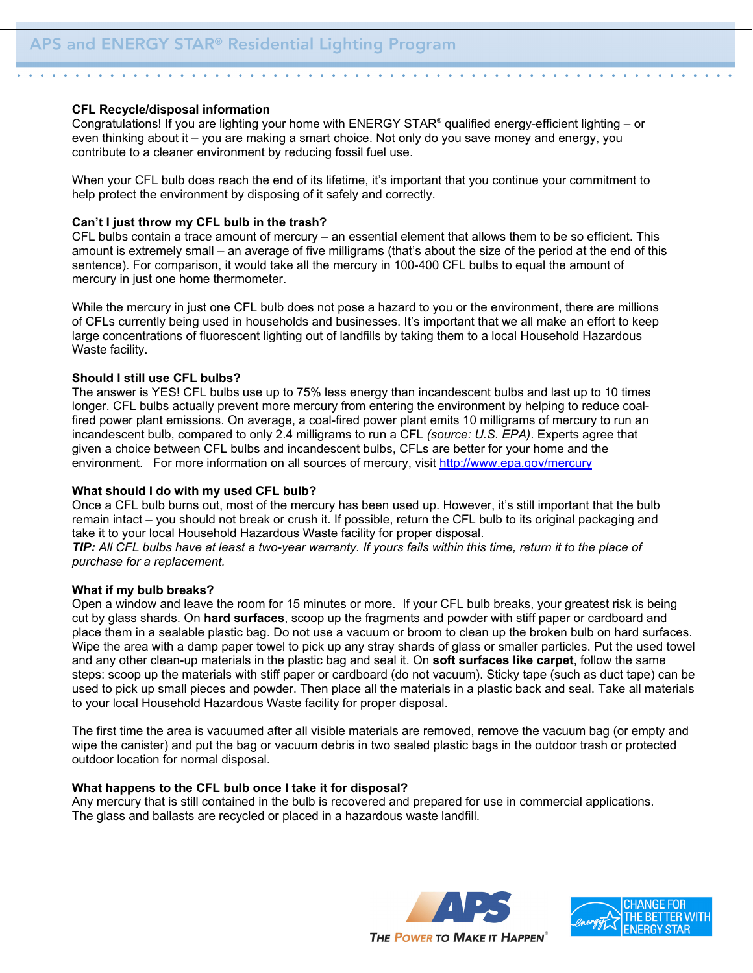#### **CFL Recycle/disposal information**

Congratulations! If you are lighting your home with ENERGY STAR® qualified energy-efficient lighting – or even thinking about it – you are making a smart choice. Not only do you save money and energy, you contribute to a cleaner environment by reducing fossil fuel use.

When your CFL bulb does reach the end of its lifetime, it's important that you continue your commitment to help protect the environment by disposing of it safely and correctly.

## **Can't I just throw my CFL bulb in the trash?**

CFL bulbs contain a trace amount of mercury – an essential element that allows them to be so efficient. This amount is extremely small – an average of five milligrams (that's about the size of the period at the end of this sentence). For comparison, it would take all the mercury in 100-400 CFL bulbs to equal the amount of mercury in just one home thermometer.

While the mercury in just one CFL bulb does not pose a hazard to you or the environment, there are millions of CFLs currently being used in households and businesses. It's important that we all make an effort to keep large concentrations of fluorescent lighting out of landfills by taking them to a local Household Hazardous Waste facility.

## **Should I still use CFL bulbs?**

The answer is YES! CFL bulbs use up to 75% less energy than incandescent bulbs and last up to 10 times longer. CFL bulbs actually prevent more mercury from entering the environment by helping to reduce coalfired power plant emissions. On average, a coal-fired power plant emits 10 milligrams of mercury to run an incandescent bulb, compared to only 2.4 milligrams to run a CFL *(source: U.S. EPA)*. Experts agree that given a choice between CFL bulbs and incandescent bulbs, CFLs are better for your home and the environment. For more information on all sources of mercury, visit http://www.epa.gov/mercury

#### **What should I do with my used CFL bulb?**

Once a CFL bulb burns out, most of the mercury has been used up. However, it's still important that the bulb remain intact – you should not break or crush it. If possible, return the CFL bulb to its original packaging and take it to your local Household Hazardous Waste facility for proper disposal.

*TIP: All CFL bulbs have at least a two-year warranty. If yours fails within this time, return it to the place of purchase for a replacement.* 

#### **What if my bulb breaks?**

Open a window and leave the room for 15 minutes or more. If your CFL bulb breaks, your greatest risk is being cut by glass shards. On **hard surfaces**, scoop up the fragments and powder with stiff paper or cardboard and place them in a sealable plastic bag. Do not use a vacuum or broom to clean up the broken bulb on hard surfaces. Wipe the area with a damp paper towel to pick up any stray shards of glass or smaller particles. Put the used towel and any other clean-up materials in the plastic bag and seal it. On **soft surfaces like carpet**, follow the same steps: scoop up the materials with stiff paper or cardboard (do not vacuum). Sticky tape (such as duct tape) can be used to pick up small pieces and powder. Then place all the materials in a plastic back and seal. Take all materials to your local Household Hazardous Waste facility for proper disposal.

The first time the area is vacuumed after all visible materials are removed, remove the vacuum bag (or empty and wipe the canister) and put the bag or vacuum debris in two sealed plastic bags in the outdoor trash or protected outdoor location for normal disposal.

#### **What happens to the CFL bulb once I take it for disposal?**

Any mercury that is still contained in the bulb is recovered and prepared for use in commercial applications. The glass and ballasts are recycled or placed in a hazardous waste landfill.



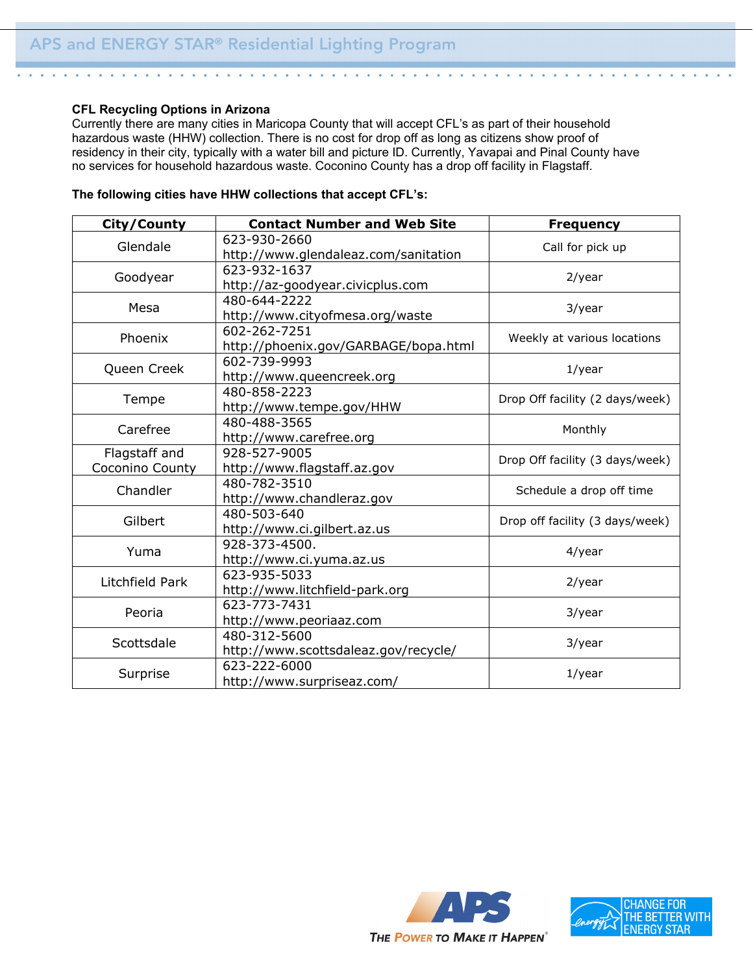## **CFL Recycling Options in Arizona**

Currently there are many cities in Maricopa County that will accept CFL's as part of their household hazardous waste (HHW) collection. There is no cost for drop off as long as citizens show proof of residency in their city, typically with a water bill and picture ID. Currently, Yavapai and Pinal County have no services for household hazardous waste. Coconino County has a drop off facility in Flagstaff.

## **The following cities have HHW collections that accept CFL's:**

| City/County     | <b>Contact Number and Web Site</b>   | <b>Frequency</b>                |  |
|-----------------|--------------------------------------|---------------------------------|--|
| Glendale        | 623-930-2660                         | Call for pick up                |  |
|                 | http://www.glendaleaz.com/sanitation |                                 |  |
| Goodyear        | 623-932-1637                         | $2$ /year                       |  |
|                 | http://az-goodyear.civicplus.com     |                                 |  |
| Mesa            | 480-644-2222                         | 3/year                          |  |
|                 | http://www.cityofmesa.org/waste      |                                 |  |
| Phoenix         | 602-262-7251                         | Weekly at various locations     |  |
|                 | http://phoenix.gov/GARBAGE/bopa.html |                                 |  |
| Queen Creek     | 602-739-9993                         | $1$ /year                       |  |
|                 | http://www.queencreek.org            |                                 |  |
| Tempe           | 480-858-2223                         | Drop Off facility (2 days/week) |  |
|                 | http://www.tempe.gov/HHW             |                                 |  |
| Carefree        | 480-488-3565                         | Monthly                         |  |
|                 | http://www.carefree.org              |                                 |  |
| Flagstaff and   | 928-527-9005                         | Drop Off facility (3 days/week) |  |
| Coconino County | http://www.flagstaff.az.gov          |                                 |  |
| Chandler        | 480-782-3510                         | Schedule a drop off time        |  |
|                 | http://www.chandleraz.gov            |                                 |  |
| Gilbert         | 480-503-640                          | Drop off facility (3 days/week) |  |
|                 | http://www.ci.gilbert.az.us          |                                 |  |
| Yuma            | 928-373-4500.                        | 4/year                          |  |
|                 | http://www.ci.yuma.az.us             |                                 |  |
| Litchfield Park | 623-935-5033                         | $2$ /year                       |  |
|                 | http://www.litchfield-park.org       |                                 |  |
| Peoria          | 623-773-7431                         | 3/year                          |  |
|                 | http://www.peoriaaz.com              |                                 |  |
| Scottsdale      | 480-312-5600                         | 3/year                          |  |
|                 | http://www.scottsdaleaz.gov/recycle/ |                                 |  |
| Surprise        | 623-222-6000                         | $1$ /year                       |  |
|                 | http://www.surpriseaz.com/           |                                 |  |